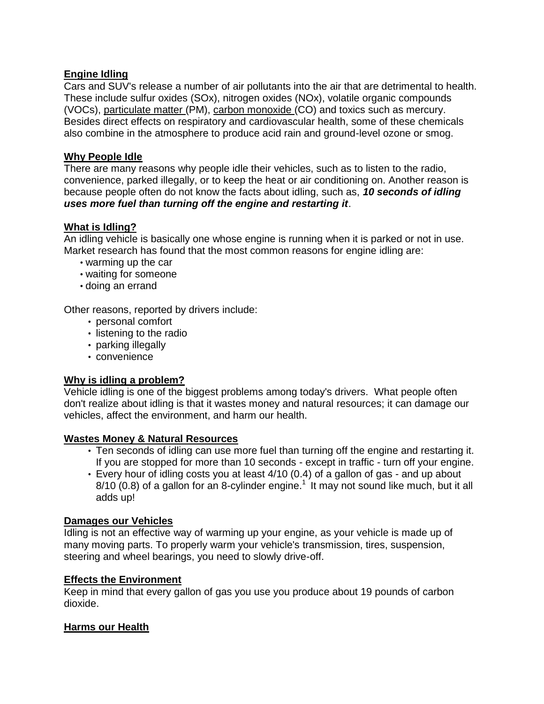## **Engine Idling**

Cars and SUV's release a number of air pollutants into the air that are detrimental to health. These include sulfur oxides (SOx), nitrogen oxides (NOx), volatile organic compounds (VOCs), particulate matter (PM), carbon monoxide (CO) and toxics such as mercury. Besides direct effects on respiratory and cardiovascular health, some of these chemicals also combine in the atmosphere to produce acid rain and ground-level ozone or smog.

### **Why People Idle**

There are many reasons why people idle their vehicles, such as to listen to the radio, convenience, parked illegally, or to keep the heat or air conditioning on. Another reason is because people often do not know the facts about idling, such as, *10 seconds of idling uses more fuel than turning off the engine and restarting it*.

### **What is Idling?**

An idling vehicle is basically one whose engine is running when it is parked or not in use. Market research has found that the most common reasons for engine idling are:

- warming up the car
- waiting for someone
- doing an errand

Other reasons, reported by drivers include:

- personal comfort
- listening to the radio
- parking illegally
- convenience

## **Why is idling a problem?**

Vehicle idling is one of the biggest problems among today's drivers. What people often don't realize about idling is that it wastes money and natural resources; it can damage our vehicles, affect the environment, and harm our health.

### **Wastes Money & Natural Resources**

- Ten seconds of idling can use more fuel than turning off the engine and restarting it. If you are stopped for more than 10 seconds - except in traffic - turn off your engine.
- Every hour of idling costs you at least 4/10 (0.4) of a gallon of gas and up about  $8/10$  (0.8) of a gallon for an 8-cylinder engine.<sup>1</sup> It may not sound like much, but it all adds up!

### **Damages our Vehicles**

Idling is not an effective way of warming up your engine, as your vehicle is made up of many moving parts. To properly warm your vehicle's transmission, tires, suspension, steering and wheel bearings, you need to slowly drive-off.

### **Effects the Environment**

Keep in mind that every gallon of gas you use you produce about 19 pounds of carbon dioxide.

### **Harms our Health**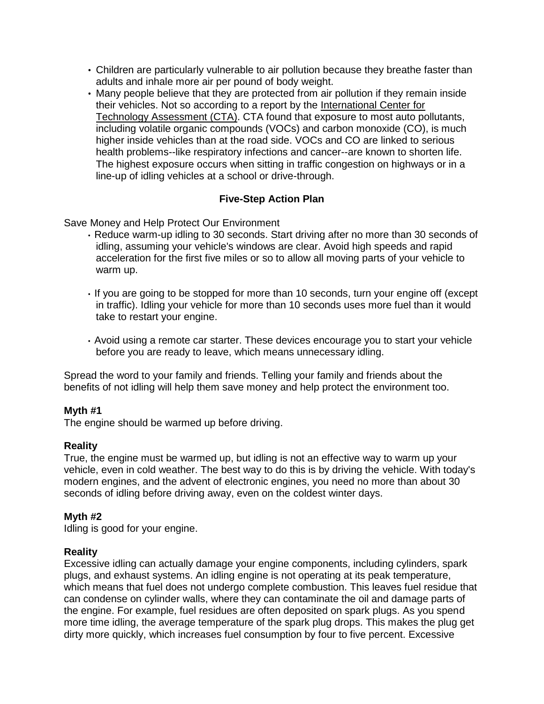- Children are particularly vulnerable to air pollution because they breathe faster than adults and inhale more air per pound of body weight.
- Many people believe that they are protected from air pollution if they remain inside their vehicles. Not so according to a report by the International Center for Technology Assessment (CTA). CTA found that exposure to most auto pollutants, including volatile organic compounds (VOCs) and carbon monoxide (CO), is much higher inside vehicles than at the road side. VOCs and CO are linked to serious health problems--like respiratory infections and cancer--are known to shorten life. The highest exposure occurs when sitting in traffic congestion on highways or in a line-up of idling vehicles at a school or drive-through.

## **Five-Step Action Plan**

Save Money and Help Protect Our Environment

- Reduce warm-up idling to 30 seconds. Start driving after no more than 30 seconds of idling, assuming your vehicle's windows are clear. Avoid high speeds and rapid acceleration for the first five miles or so to allow all moving parts of your vehicle to warm up.
- If you are going to be stopped for more than 10 seconds, turn your engine off (except in traffic). Idling your vehicle for more than 10 seconds uses more fuel than it would take to restart your engine.
- Avoid using a remote car starter. These devices encourage you to start your vehicle before you are ready to leave, which means unnecessary idling.

Spread the word to your family and friends. Telling your family and friends about the benefits of not idling will help them save money and help protect the environment too.

## **Myth #1**

The engine should be warmed up before driving.

### **Reality**

True, the engine must be warmed up, but idling is not an effective way to warm up your vehicle, even in cold weather. The best way to do this is by driving the vehicle. With today's modern engines, and the advent of electronic engines, you need no more than about 30 seconds of idling before driving away, even on the coldest winter days.

## **Myth #2**

Idling is good for your engine.

### **Reality**

Excessive idling can actually damage your engine components, including cylinders, spark plugs, and exhaust systems. An idling engine is not operating at its peak temperature, which means that fuel does not undergo complete combustion. This leaves fuel residue that can condense on cylinder walls, where they can contaminate the oil and damage parts of the engine. For example, fuel residues are often deposited on spark plugs. As you spend more time idling, the average temperature of the spark plug drops. This makes the plug get dirty more quickly, which increases fuel consumption by four to five percent. Excessive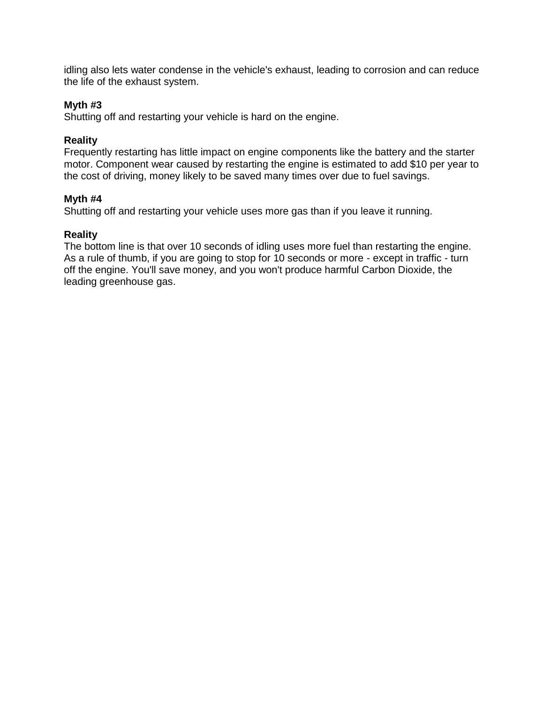idling also lets water condense in the vehicle's exhaust, leading to corrosion and can reduce the life of the exhaust system.

### **Myth #3**

Shutting off and restarting your vehicle is hard on the engine.

### **Reality**

Frequently restarting has little impact on engine components like the battery and the starter motor. Component wear caused by restarting the engine is estimated to add \$10 per year to the cost of driving, money likely to be saved many times over due to fuel savings.

### **Myth #4**

Shutting off and restarting your vehicle uses more gas than if you leave it running.

### **Reality**

The bottom line is that over 10 seconds of idling uses more fuel than restarting the engine. As a rule of thumb, if you are going to stop for 10 seconds or more - except in traffic - turn off the engine. You'll save money, and you won't produce harmful Carbon Dioxide, the leading greenhouse gas.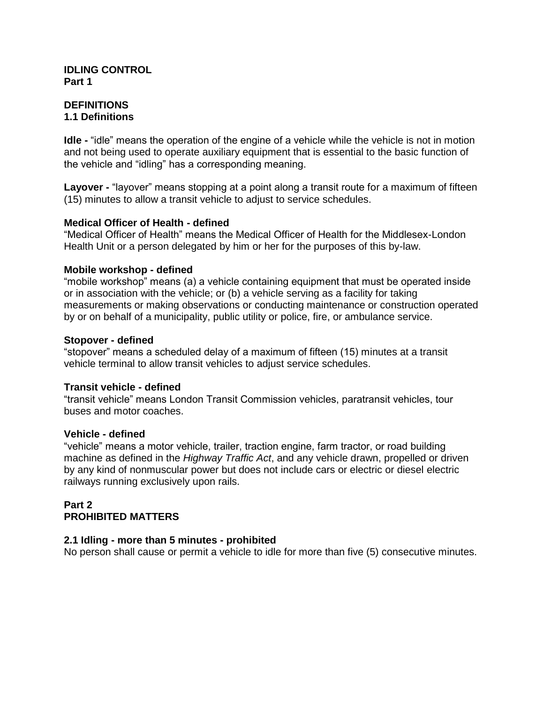#### **IDLING CONTROL Part 1**

#### **DEFINITIONS 1.1 Definitions**

**Idle -** "idle" means the operation of the engine of a vehicle while the vehicle is not in motion and not being used to operate auxiliary equipment that is essential to the basic function of the vehicle and "idling" has a corresponding meaning.

**Layover -** "layover" means stopping at a point along a transit route for a maximum of fifteen (15) minutes to allow a transit vehicle to adjust to service schedules.

### **Medical Officer of Health - defined**

"Medical Officer of Health" means the Medical Officer of Health for the Middlesex-London Health Unit or a person delegated by him or her for the purposes of this by-law.

### **Mobile workshop - defined**

"mobile workshop" means (a) a vehicle containing equipment that must be operated inside or in association with the vehicle; or (b) a vehicle serving as a facility for taking measurements or making observations or conducting maintenance or construction operated by or on behalf of a municipality, public utility or police, fire, or ambulance service.

### **Stopover - defined**

"stopover" means a scheduled delay of a maximum of fifteen (15) minutes at a transit vehicle terminal to allow transit vehicles to adjust service schedules.

### **Transit vehicle - defined**

"transit vehicle" means London Transit Commission vehicles, paratransit vehicles, tour buses and motor coaches.

### **Vehicle - defined**

"vehicle" means a motor vehicle, trailer, traction engine, farm tractor, or road building machine as defined in the *Highway Traffic Act*, and any vehicle drawn, propelled or driven by any kind of nonmuscular power but does not include cars or electric or diesel electric railways running exclusively upon rails.

### **Part 2 PROHIBITED MATTERS**

### **2.1 Idling - more than 5 minutes - prohibited**

No person shall cause or permit a vehicle to idle for more than five (5) consecutive minutes.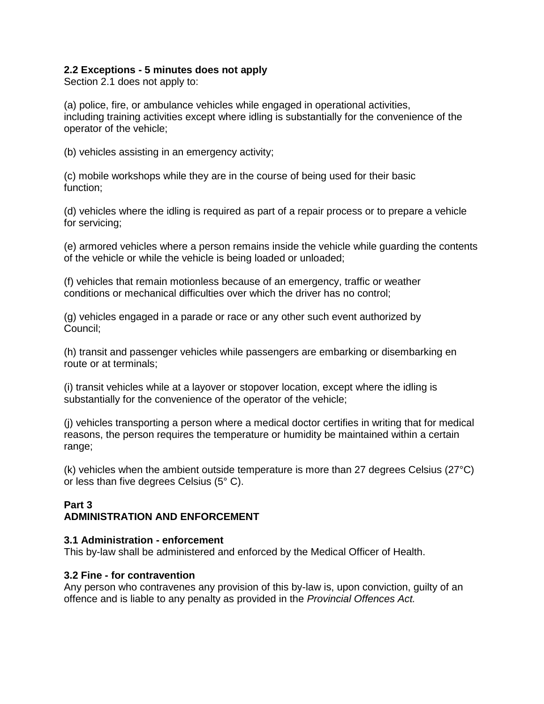### **2.2 Exceptions - 5 minutes does not apply**

Section 2.1 does not apply to:

(a) police, fire, or ambulance vehicles while engaged in operational activities, including training activities except where idling is substantially for the convenience of the operator of the vehicle;

(b) vehicles assisting in an emergency activity;

(c) mobile workshops while they are in the course of being used for their basic function;

(d) vehicles where the idling is required as part of a repair process or to prepare a vehicle for servicing;

(e) armored vehicles where a person remains inside the vehicle while guarding the contents of the vehicle or while the vehicle is being loaded or unloaded;

(f) vehicles that remain motionless because of an emergency, traffic or weather conditions or mechanical difficulties over which the driver has no control;

(g) vehicles engaged in a parade or race or any other such event authorized by Council;

(h) transit and passenger vehicles while passengers are embarking or disembarking en route or at terminals;

(i) transit vehicles while at a layover or stopover location, except where the idling is substantially for the convenience of the operator of the vehicle;

(j) vehicles transporting a person where a medical doctor certifies in writing that for medical reasons, the person requires the temperature or humidity be maintained within a certain range;

(k) vehicles when the ambient outside temperature is more than 27 degrees Celsius (27°C) or less than five degrees Celsius (5° C).

### **Part 3 ADMINISTRATION AND ENFORCEMENT**

### **3.1 Administration - enforcement**

This by-law shall be administered and enforced by the Medical Officer of Health.

### **3.2 Fine - for contravention**

Any person who contravenes any provision of this by-law is, upon conviction, guilty of an offence and is liable to any penalty as provided in the *Provincial Offences Act.*